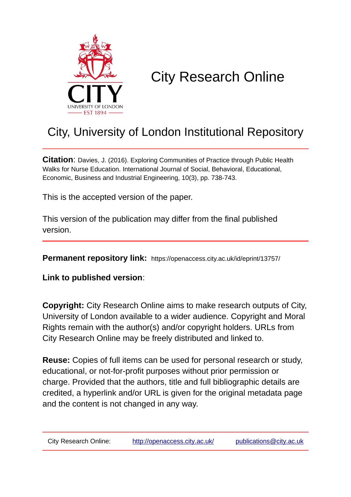

# City Research Online

# City, University of London Institutional Repository

**Citation**: Davies, J. (2016). Exploring Communities of Practice through Public Health Walks for Nurse Education. International Journal of Social, Behavioral, Educational, Economic, Business and Industrial Engineering, 10(3), pp. 738-743.

This is the accepted version of the paper.

This version of the publication may differ from the final published version.

**Permanent repository link:** https://openaccess.city.ac.uk/id/eprint/13757/

**Link to published version**:

**Copyright:** City Research Online aims to make research outputs of City, University of London available to a wider audience. Copyright and Moral Rights remain with the author(s) and/or copyright holders. URLs from City Research Online may be freely distributed and linked to.

**Reuse:** Copies of full items can be used for personal research or study, educational, or not-for-profit purposes without prior permission or charge. Provided that the authors, title and full bibliographic details are credited, a hyperlink and/or URL is given for the original metadata page and the content is not changed in any way.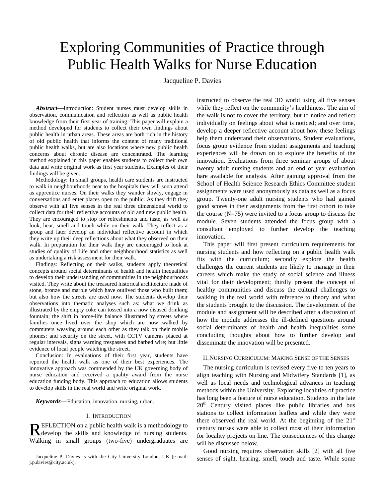# Exploring Communities of Practice through Public Health Walks for Nurse Education

Jacqueline P. Davies

*Abstract*—Introduction: Student nurses must develop skills in observation, communication and reflection as well as public health knowledge from their first year of training. This paper will explain a method developed for students to collect their own findings about public health in urban areas. These areas are both rich in the history of old public health that informs the content of many traditional public health walks, but are also locations where new public health concerns about chronic disease are concentrated. The learning method explained in this paper enables students to collect their own data and write original work as first year students. Examples of their findings will be given.

Methodology: In small groups, health care students are instructed to walk in neighbourhoods near to the hospitals they will soon attend as apprentice nurses. On their walks they wander slowly, engage in conversations and enter places open to the public. As they drift they observe with all five senses in the real three dimensional world to collect data for their reflective accounts of old and new public health. They are encouraged to stop for refreshments and taste, as well as look, hear, smell and touch while on their walk. They reflect as a group and later develop an individual reflective account in which they write up their deep reflections about what they observed on their walk. In preparation for their walk they are encouraged to look at studies of quality of Life and other neighbourhood statistics as well as undertaking a risk assessment for their walk.

Findings: Reflecting on their walks, students apply theoretical concepts around social determinants of health and health inequalities to develop their understanding of communities in the neighbourhoods visited. They write about the treasured historical architecture made of stone, bronze and marble which have outlived those who built them; but also how the streets are used now. The students develop their observations into thematic analyses such as: what we drink as illustrated by the empty coke can tossed into a now disused drinking fountain; the shift in home-life balance illustrated by streets where families once lived over the shop which are now walked by commuters weaving around each other as they talk on their mobile phones; and security on the street, with CCTV cameras placed at regular intervals, signs warning trespasses and barbed wire; but little evidence of local people watching the street.

Conclusion: In evaluations of their first year, students have reported the health walk as one of their best experiences. The innovative approach was commended by the UK governing body of nurse education and received a quality award from the nurse education funding body. This approach to education allows students to develop skills in the real world and write original work.

*Keywords***—**Education, innovation. nursing, urban.

## I. INTRODUCTION

EFLECTION on a public health walk is a methodology to REFLECTION on a public health walk is a methodology to develop the skills and knowledge of nursing students. Walking in small groups (two-five) undergraduates are

Jacqueline P. Davies is with the City University London, UK (e-mail: j.p.davies@city.ac.uk).

instructed to observe the real 3D world using all five senses while they reflect on the community's healthiness. The aim of the walk is not to cover the territory, but to notice and reflect individually on feelings about what is noticed; and over time, develop a deeper reflective account about how these feelings help them understand their observations. Student evaluations, focus group evidence from student assignments and teaching experiences will be drawn on to explore the benefits of the innovation. Evaluations from three seminar groups of about twenty adult nursing students and an end of year evaluation hare available for analysis. After gaining approval from the School of Health Science Research Ethics Committee student assignments were used anonymously as data as well as a focus group. Twenty-one adult nursing students who had gained good scores in their assignments from the first cohort to take the course  $(N=75)$  were invited to a focus group to discuss the module. Seven students attended the focus group with a consultant employed to further develop the teaching innovation.

This paper will first present curriculum requirements for nursing students and how reflecting on a public health walk fits with the curriculum; secondly explore the health challenges the current students are likely to manage in their careers which make the study of social science and illness vital for their development; thirdly present the concept of healthy communities and discuss the cultural challenges to walking in the real world with reference to theory and what the students brought to the discussion. The development of the module and assignment will be described after a discussion of how the module addresses the ill-defined questions around social determinants of health and health inequalities some concluding thoughts about how to further develop and disseminate the innovation will be presented.

#### II.NURSING CURRICULUM: MAKING SENSE OF THE SENSES

The nursing curriculum is revised every five to ten years to align teaching with Nursing and Midwifery Standards [1], as well as local needs and technological advances in teaching methods within the University. Exploring localities of practice has long been a feature of nurse education. Students in the late  $20<sup>th</sup>$  Century visited places like public libraries and bus stations to collect information leaflets and while they were there observed the real world. At the beginning of the  $21<sup>st</sup>$ century nurses were able to collect most of their information for locality projects on line. The consequences of this change will be discussed below.

Good nursing requires observation skills [2] with all five senses of sight, hearing, smell, touch and taste. While some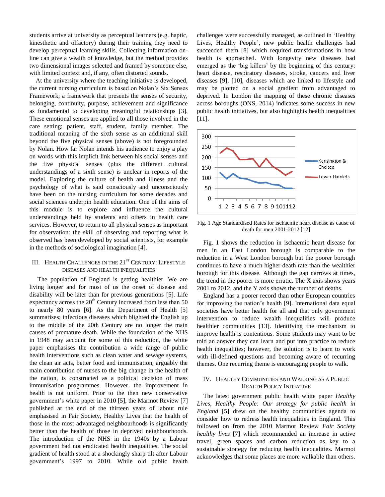students arrive at university as perceptual learners (e.g. haptic, kinesthetic and olfactory) during their training they need to develop perceptual learning skills. Collecting information online can give a wealth of knowledge, but the method provides two dimensional images selected and framed by someone else, with limited context and, if any, often distorted sounds.

At the university where the teaching initiative is developed, the current nursing curriculum is based on Nolan's Six Senses Framework; a framework that presents the senses of security, belonging, continuity, purpose, achievement and significance as fundamental to developing meaningful relationships [3]. These emotional senses are applied to all those involved in the care setting: patient, staff, student, family member. The traditional meaning of the sixth sense as an additional skill beyond the five physical senses (above) is not foregrounded by Nolan. How far Nolan intends his audience to enjoy a play on words with this implicit link between his social senses and the five physical senses (plus the different cultural understandings of a sixth sense) is unclear in reports of the model. Exploring the culture of health and illness and the psychology of what is said consciously and unconsciously have been on the nursing curriculum for some decades and social sciences underpin health education. One of the aims of this module is to explore and influence the cultural understandings held by students and others in health care services. However, to return to all physical senses as important for observation: the skill of observing and reporting what is observed has been developed by social scientists, for example in the methods of sociological imagination [4].

# III. HEALTH CHALLENGES IN THE 21<sup>ST</sup> CENTURY: LIFESTYLE DISEASES AND HEALTH INEQUALITIES

The population of England is getting healthier. We are living longer and for most of us the onset of disease and disability will be later than for previous generations [5]*.* Life expectancy across the  $20<sup>th</sup>$  Century increased from less than 50 to nearly 80 years [6]. As the Department of Health [5] summarises; infectious diseases which blighted the English up to the middle of the 20th Century are no longer the main causes of premature death. While the foundation of the NHS in 1948 may account for some of this reduction, the white paper emphasises the contribution a wide range of public health interventions such as clean water and sewage systems, the clean air acts, better food and immunisation, arguably the main contribution of nurses to the big change in the health of the nation, is constructed as a political decision of mass immunisation programmes. However, the improvement in health is not uniform. Prior to the then new conservative government's white paper in 2010 [5], the Marmot Review [7] published at the end of the thirteen years of labour rule emphasised in Fair Society, Healthy Lives that the health of those in the most advantaged neighbourhoods is significantly better than the health of those in deprived neighbourhoods. The introduction of the NHS in the 1940s by a Labour government had not eradicated health inequalities. The social gradient of health stood at a shockingly sharp tilt after Labour government's 1997 to 2010. While old public health

challenges were successfully managed, as outlined in 'Healthy Lives, Healthy People', new public health challenges had succeeded them [8] which required transformations in how health is approached. With longevity new diseases had emerged as the 'big killers' by the beginning of this century: heart disease, respiratory diseases, stroke, cancers and liver diseases [9], [10], diseases which are linked to lifestyle and may be plotted on a social gradient from advantaged to deprived. In London the mapping of these chronic diseases across boroughs (ONS, 2014) indicates some success in new public health initiatives, but also highlights health inequalities [11].



Fig. 1 Age Standardised Rates for ischaemic heart disease as cause of death for men 2001-2012 [12]

Fig. 1 shows the reduction in ischaemic heart disease for men in an East London borough is comparable to the reduction in a West London borough but the poorer borough continues to have a much higher death rate than the wealthier borough for this disease. Although the gap narrows at times, the trend in the poorer is more erratic. The X axis shows years 2001 to 2012, and the Y axis shows the number of deaths.

England has a poorer record than other European countries for improving the nation's health [9]. International data equal societies have better health for all and that only government intervention to reduce wealth inequalities will produce healthier communities [13]. Identifying the mechanism to improve health is contentious. Some students may want to be told an answer they can learn and put into practice to reduce health inequalities; however, the solution is to learn to work with ill-defined questions and becoming aware of recurring themes. One recurring theme is encouraging people to walk.

# IV. HEALTHY COMMUNITIES AND WALKING AS A PUBLIC HEALTH POLICY INITIATIVE

The latest government public health white paper *Healthy Lives, Healthy People: Our strategy for public health in England* [5] drew on the healthy communities agenda to consider how to redress health inequalities in England. This followed on from the 2010 Marmot Review *Fair Society healthy lives* [7] which recommended an increase in active travel, green spaces and carbon reduction as key to a sustainable strategy for reducing health inequalities. Marmot acknowledges that some places are more walkable than others.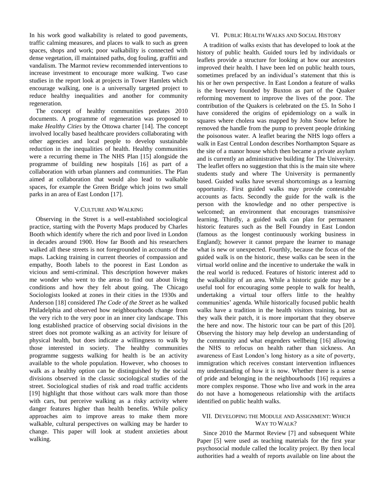In his work good walkability is related to good pavements, traffic calming measures, and places to walk to such as green spaces, shops and work; poor walkability is connected with dense vegetation, ill maintained paths, dog fouling, graffiti and vandalism. The Marmot review recommended interventions to increase investment to encourage more walking. Two case studies in the report look at projects in Tower Hamlets which encourage walking, one is a universally targeted project to reduce healthy inequalities and another for community regeneration.

The concept of healthy communities predates 2010 documents. A programme of regeneration was proposed to make *Healthy Cities* by the Ottowa charter [14]. The concept involved locally based healthcare providers collaborating with other agencies and local people to develop sustainable reduction in the inequalities of health. Healthy communities were a recurring theme in The NHS Plan [15] alongside the programme of building new hospitals [16] as part of a collaboration with urban planners and communities. The Plan aimed at collaboration that would also lead to walkable spaces, for example the Green Bridge which joins two small parks in an area of East London [17].

## V.CULTURE AND WALKING

Observing in the Street is a well-established sociological practice, starting with the Poverty Maps produced by Charles Booth which identify where the rich and poor lived in London in decades around 1900. How far Booth and his researchers walked all these streets is not foregrounded in accounts of the maps. Lacking training in current theories of compassion and empathy, Booth labels to the poorest in East London as vicious and semi-criminal. This description however makes me wonder who went to the areas to find out about living conditions and how they felt about going. The Chicago Sociologists looked at zones in their cities in the 1930s and Anderson [18] considered *The Code of the Street* as he walked Philadelphia and observed how neighbourhoods change from the very rich to the very poor in an inner city landscape. This long established practice of observing social divisions in the street does not promote walking as an activity for leisure of physical health, but does indicate a willingness to walk by those interested in society. The healthy communities programme suggests walking for health is be an activity available to the whole population. However, who chooses to walk as a healthy option can be distinguished by the social divisions observed in the classic sociological studies of the street. Sociological studies of risk and road traffic accidents [19] highlight that those without cars walk more than those with cars, but perceive walking as a risky activity where danger features higher than health benefits. While policy approaches aim to improve areas to make them more walkable, cultural perspectives on walking may be harder to change. This paper will look at student anxieties about walking.

# VI. PUBLIC HEALTH WALKS AND SOCIAL HISTORY

A tradition of walks exists that has developed to look at the history of public health. Guided tours led by individuals or leaflets provide a structure for looking at how our ancestors improved their health. I have been led on public health tours, sometimes prefaced by an individual's statement that this is his or her own perspective. In East London a feature of walks is the brewery founded by Buxton as part of the Quaker reforming movement to improve the lives of the poor. The contribution of the Quakers is celebrated on the £5. In Soho I have considered the origins of epidemiology on a walk in squares where cholera was mapped by John Snow before he removed the handle from the pump to prevent people drinking the poisonous water. A leaflet bearing the NHS logo offers a walk in East Central London describes Northampton Square as the site of a manor house which then became a private asylum and is currently an administrative building for The University. The leaflet offers no suggestion that this is the main site where students study and where The University is permanently based. Guided walks have several shortcomings as a learning opportunity. First guided walks may provide contestable accounts as facts. Secondly the guide for the walk is the person with the knowledge and no other perspective is welcomed; an environment that encourages transmissive learning. Thirdly, a guided walk can plan for permanent historic features such as the Bell Foundry in East London (famous as the longest continuously working business in England); however it cannot prepare the learner to manage what is new or unexpected. Fourthly, because the focus of the guided walk is on the historic, these walks can be seen in the virtual world online and the incentive to undertake the walk in the real world is reduced. Features of historic interest add to the walkability of an area. While a historic guide may be a useful tool for encouraging some people to walk for health, undertaking a virtual tour offers little to the healthy communities' agenda. While historically focused public health walks have a tradition in the health visitors training, but as they walk their patch, it is more important that they observe the here and now. The historic tour can be part of this [20]. Observing the history may help develop an understanding of the community and what engenders wellbeing [16] allowing the NHS to refocus on health rather than sickness. An awareness of East London's long history as a site of poverty, immigration which receives constant intervention influences my understanding of how it is now. Whether there is a sense of pride and belonging in the neighbourhoods [16] requires a more complex response. Those who live and work in the area do not have a homogeneous relationship with the artifacts identified on public health walks.

# VII. DEVELOPING THE MODULE AND ASSIGNMENT: WHICH WAY TO WALK?

Since 2010 the Marmot Review [7] and subsequent White Paper [5] were used as teaching materials for the first year psychosocial module called the locality project. By then local authorities had a wealth of reports available on line about the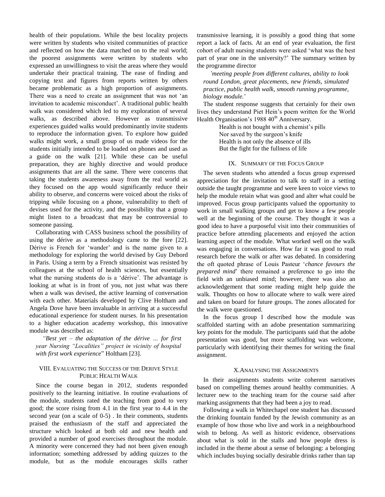health of their populations. While the best locality projects were written by students who visited communities of practice and reflected on how the data matched on to the real world; the poorest assignments were written by students who expressed an unwillingness to visit the areas where they would undertake their practical training. The ease of finding and copying text and figures from reports written by others became problematic as a high proportion of assignments. There was a need to create an assignment that was not 'an invitation to academic misconduct'. A traditional public health walk was considered which led to my exploration of several walks, as described above. However as transmissive experiences guided walks would predominantly invite students to reproduce the information given. To explore how guided walks might work, a small group of us made videos for the students initially intended to be loaded on phones and used as a guide on the walk [21]. While these can be useful preparation, they are highly directive and would produce assignments that are all the same. There were concerns that taking the students awareness away from the real world as they focused on the app would significantly reduce their ability to observe, and concerns were voiced about the risks of tripping while focusing on a phone, vulnerability to theft of devises used for the activity, and the possibility that a group might listen to a broadcast that may be controversial to someone passing.

Collaborating with CASS business school the possibility of using the dérive as a methodology came to the fore [22]. Dérive is French for 'wander' and is the name given to a methodology for exploring the world devised by Guy Debord in Paris. Using a term by a French situationist was resisted by colleagues at the school of health sciences, but essentially what the nursing students do is a 'dérive'. The advantage is looking at what is in front of you, not just what was there when a walk was devised, the active learning of conversation with each other. Materials developed by Clive Holtham and Angela Dove have been invaluable in arriving at a successful educational experience for student nurses. In his presentation to a higher education academy workshop, this innovative module was described as:

*"Best yet – the adaptation of the dérive … for first year Nursing "Localities" project in vicinity of hospital with first work experience*" Holtham [23].

# VIII. EVALUATING THE SUCCESS OF THE DERIVE STYLE PUBLIC HEALTH WALK

Since the course began in 2012, students responded positively to the learning initiative. In routine evaluations of the module, students rated the teaching from good to very good; the score rising from 4.1 in the first year to 4.4 in the second year (on a scale of 0-5) . In their comments, students praised the enthusiasm of the staff and appreciated the structure which looked at both old and new health and provided a number of good exercises throughout the module. A minority were concerned they had not been given enough information; something addressed by adding quizzes to the module, but as the module encourages skills rather

transmissive learning, it is possibly a good thing that some report a lack of facts. At an end of year evaluation, the first cohort of adult nursing students were asked 'what was the best part of year one in the university?' The summary written by the programme director

*'meeting people from different cultures, ability to look round London, great placements, new friends, simulated practice, public health walk, smooth running programme, biology module.*'

The student response suggests that certainly for their own lives they understand Piet Hein's poem written for the World Health Organisation's 1988 40<sup>th</sup> Anniversary.

> Health is not bought with a chemist's pills Nor saved by the surgeon's knife Health is not only the absence of ills But the fight for the fullness of life

## IX. SUMMARY OF THE FOCUS GROUP

The seven students who attended a focus group expressed appreciation for the invitation to talk to staff in a setting outside the taught programme and were keen to voice views to help the module retain what was good and alter what could be improved. Focus group participants valued the opportunity to work in small walking groups and get to know a few people well at the beginning of the course. They thought it was a good idea to have a purposeful visit into their communities of practice before attending placements and enjoyed the action learning aspect of the module. What worked well on the walk was engaging in conversations. How far it was good to read research before the walk or after was debated. In considering the oft quoted phrase of Louis Pasteur '*chance favours the prepared mind*' there remained a preference to go into the field with an unbiased mind; however, there was also an acknowledgement that some reading might help guide the walk. Thoughts on how to allocate where to walk were aired and taken on board for future groups. The zones allocated for the walk were questioned.

In the focus group I described how the module was scaffolded starting with an adobe presentation summarizing key points for the module. The participants said that the adobe presentation was good, but more scaffolding was welcome, particularly with identifying their themes for writing the final assignment.

#### X.ANALYSING THE ASSIGNMENTS

In their assignments students write coherent narratives based on compelling themes around healthy communities. A lecturer new to the teaching team for the course said after marking assignments that they had been a joy to read.

Following a walk in Whitechapel one student has discussed the drinking fountain funded by the Jewish community as an example of how those who live and work in a neighbourhood wish to belong. As well as historic evidence, observations about what is sold in the stalls and how people dress is included in the theme about a sense of belonging: a belonging which includes buying socially desirable drinks rather than tap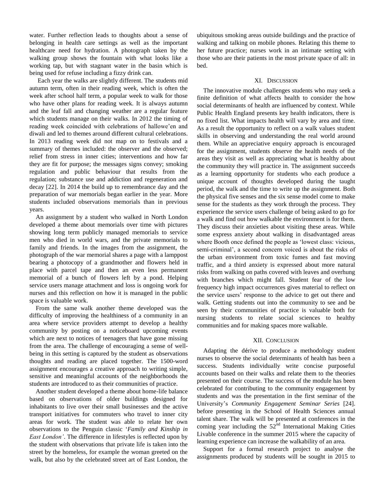water. Further reflection leads to thoughts about a sense of belonging in health care settings as well as the important healthcare need for hydration. A photograph taken by the walking group shows the fountain with what looks like a working tap, but with stagnant water in the basin which is being used for refuse including a fizzy drink can.

Each year the walks are slightly different. The students mid autumn term, often in their reading week, which is often the week after school half term, a popular week to walk for those who have other plans for reading week. It is always autumn and the leaf fall and changing weather are a regular feature which students manage on their walks. In 2012 the timing of reading week coincided with celebrations of hallowe'en and diwali and led to themes around different cultural celebrations. In 2013 reading week did not map on to festivals and a summary of themes included: the observer and the observed; relief from stress in inner cities; interventions and how far they are fit for purpose; the messages signs convey; smoking regulation and public behaviour that results from the regulation; substance use and addiction and regeneration and decay [22]. In 2014 the build up to remembrance day and the preparation of war memorials began earlier in the year. More students included observations memorials than in previous years.

An assignment by a student who walked in North London developed a theme about memorials over time with pictures showing long term publicly managed memorials to service men who died in world wars, and the private memorials to family and friends. In the images from the assignment, the photograph of the war memorial shares a page with a lamppost bearing a photocopy of a grandmother and flowers held in place with parcel tape and then an even less permanent memorial of a bunch of flowers left by a pond. Helping service users manage attachment and loss is ongoing work for nurses and this reflection on how it is managed in the public space is valuable work.

From the same walk another theme developed was the difficulty of improving the healthiness of a community in an area where service providers attempt to develop a healthy community by posting on a noticeboard upcoming events which are next to notices of teenagers that have gone missing from the area. The challenge of encouraging a sense of wellbeing in this setting is captured by the student as observations thoughts and reading are placed together. The 1500-word assignment encourages a creative approach to writing simple, sensitive and meaningful accounts of the neighborhoods the students are introduced to as their communities of practice.

Another student developed a theme about home-life balance based on observations of older buildings designed for inhabitants to live over their small businesses and the active transport initiatives for commuters who travel to inner city areas for work. The student was able to relate her own observations to the Penguin classic '*Family and Kinship in East London'*. The difference in lifestyles is reflected upon by the student with observations that private life is taken into the street by the homeless, for example the woman greeted on the walk, but also by the celebrated street art of East London, the ubiquitous smoking areas outside buildings and the practice of walking and talking on mobile phones. Relating this theme to her future practice; nurses work in an intimate setting with those who are their patients in the most private space of all: in bed.

## XI. DISCUSSION

The innovative module challenges students who may seek a finite definition of what affects health to consider the how social determinants of health are influenced by context. While Public Health England presents key health indicators, there is no fixed list. What impacts health will vary by area and time. As a result the opportunity to reflect on a walk values student skills in observing and understanding the real world around them. While an appreciative enquiry approach is encouraged for the assignment, students observe the health needs of the areas they visit as well as appreciating what is healthy about the community they will practice in. The assignment succeeds as a learning opportunity for students who each produce a unique account of thoughts developed during the taught period, the walk and the time to write up the assignment. Both the physical five senses and the six sense model come to make sense for the students as they work through the process. They experience the service users challenge of being asked to go for a walk and find out how walkable the environment is for them. They discuss their anxieties about visiting these areas. While some express anxiety about walking in disadvantaged areas where Booth once defined the people as 'lowest class: vicious, semi-criminal', a second concern voiced is about the risks of the urban environment from toxic fumes and fast moving traffic, and a third anxiety is expressed about more natural risks from walking on paths covered with leaves and overhung with branches which might fall. Student fear of the low frequency high impact occurrences gives material to reflect on the service users' response to the advice to get out there and walk. Getting students out into the community to see and be seen by their communities of practice is valuable both for nursing students to relate social sciences to healthy communities and for making spaces more walkable.

## XII. CONCLUSION

Adapting the dérive to produce a methodology student nurses to observe the social determinants of health has been a success. Students individually write concise purposeful accounts based on their walks and relate them to the theories presented on their course. The success of the module has been celebrated for contributing to the community engagement by students and was the presentation in the first seminar of the University's *Community Engagement Seminar Series* [24]. before presenting in the School of Health Sciences annual talent share. The walk will be presented at conferences in the coming year including the  $52<sup>nd</sup>$  International Making Cities Livable conference in the summer 2015 where the capacity of learning experience can increase the walkability of an area.

Support for a formal research project to analyse the assignments produced by students will be sought in 2015 to